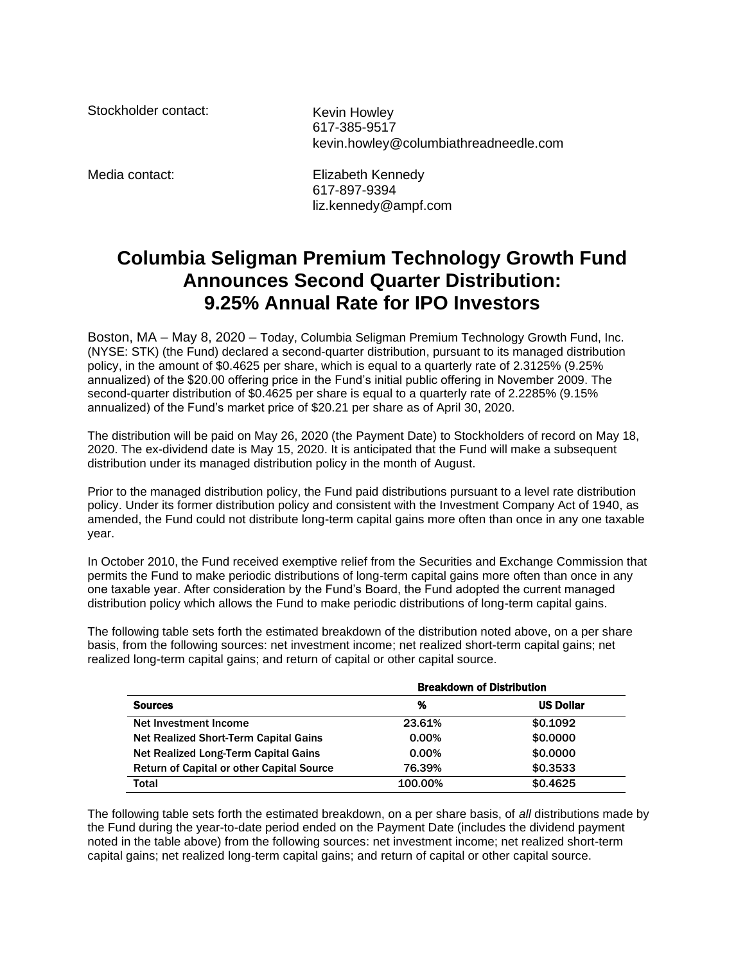Stockholder contact: Kevin Howley

617-385-9517 kevin.howley@columbiathreadneedle.com

Media contact: Elizabeth Kennedy 617-897-9394 liz.kennedy@ampf.com

## **Columbia Seligman Premium Technology Growth Fund Announces Second Quarter Distribution: 9.25% Annual Rate for IPO Investors**

Boston, MA – May 8, 2020 – Today, Columbia Seligman Premium Technology Growth Fund, Inc. (NYSE: STK) (the Fund) declared a second-quarter distribution, pursuant to its managed distribution policy, in the amount of \$0.4625 per share, which is equal to a quarterly rate of 2.3125% (9.25% annualized) of the \$20.00 offering price in the Fund's initial public offering in November 2009. The second-quarter distribution of \$0.4625 per share is equal to a quarterly rate of 2.2285% (9.15% annualized) of the Fund's market price of \$20.21 per share as of April 30, 2020.

The distribution will be paid on May 26, 2020 (the Payment Date) to Stockholders of record on May 18, 2020. The ex-dividend date is May 15, 2020. It is anticipated that the Fund will make a subsequent distribution under its managed distribution policy in the month of August.

Prior to the managed distribution policy, the Fund paid distributions pursuant to a level rate distribution policy. Under its former distribution policy and consistent with the Investment Company Act of 1940, as amended, the Fund could not distribute long-term capital gains more often than once in any one taxable year.

In October 2010, the Fund received exemptive relief from the Securities and Exchange Commission that permits the Fund to make periodic distributions of long-term capital gains more often than once in any one taxable year. After consideration by the Fund's Board, the Fund adopted the current managed distribution policy which allows the Fund to make periodic distributions of long-term capital gains.

The following table sets forth the estimated breakdown of the distribution noted above, on a per share basis, from the following sources: net investment income; net realized short-term capital gains; net realized long-term capital gains; and return of capital or other capital source.

|                                                  | <b>Breakdown of Distribution</b> |                  |
|--------------------------------------------------|----------------------------------|------------------|
| <b>Sources</b>                                   | %                                | <b>US Dollar</b> |
| Net Investment Income                            | 23.61%                           | \$0.1092         |
| Net Realized Short-Term Capital Gains            | 0.00%                            | \$0,0000         |
| Net Realized Long-Term Capital Gains             | 0.00%                            | \$0.0000         |
| <b>Return of Capital or other Capital Source</b> | 76.39%                           | \$0.3533         |
| Total                                            | 100.00%                          | \$0.4625         |

The following table sets forth the estimated breakdown, on a per share basis, of *all* distributions made by the Fund during the year-to-date period ended on the Payment Date (includes the dividend payment noted in the table above) from the following sources: net investment income; net realized short-term capital gains; net realized long-term capital gains; and return of capital or other capital source.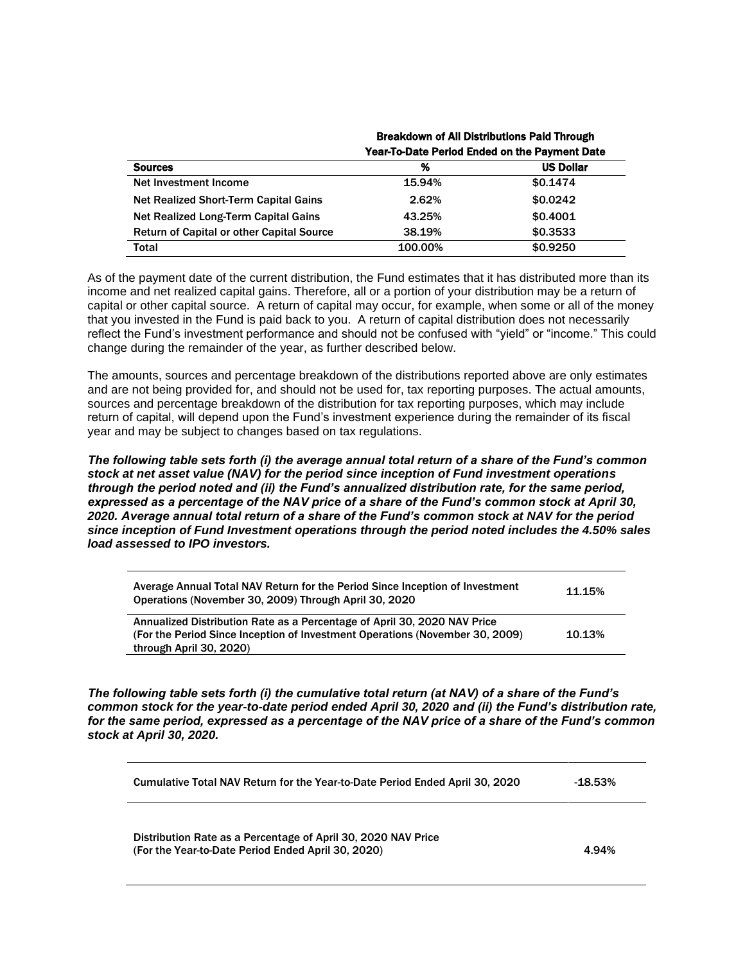|                                                  | <b>Breakdown of All Distributions Paid Through</b><br>Year-To-Date Period Ended on the Payment Date |                  |
|--------------------------------------------------|-----------------------------------------------------------------------------------------------------|------------------|
| <b>Sources</b>                                   | %                                                                                                   | <b>US Dollar</b> |
| Net Investment Income                            | 15.94%                                                                                              | \$0.1474         |
| Net Realized Short-Term Capital Gains            | 2.62%                                                                                               | \$0.0242         |
| Net Realized Long-Term Capital Gains             | 43.25%                                                                                              | \$0.4001         |
| <b>Return of Capital or other Capital Source</b> | 38.19%                                                                                              | \$0,3533         |
| <b>Total</b>                                     | 100.00%                                                                                             | \$0,9250         |

As of the payment date of the current distribution, the Fund estimates that it has distributed more than its income and net realized capital gains. Therefore, all or a portion of your distribution may be a return of capital or other capital source. A return of capital may occur, for example, when some or all of the money that you invested in the Fund is paid back to you. A return of capital distribution does not necessarily reflect the Fund's investment performance and should not be confused with "yield" or "income." This could change during the remainder of the year, as further described below.

The amounts, sources and percentage breakdown of the distributions reported above are only estimates and are not being provided for, and should not be used for, tax reporting purposes. The actual amounts, sources and percentage breakdown of the distribution for tax reporting purposes, which may include return of capital, will depend upon the Fund's investment experience during the remainder of its fiscal year and may be subject to changes based on tax regulations.

*The following table sets forth (i) the average annual total return of a share of the Fund's common stock at net asset value (NAV) for the period since inception of Fund investment operations through the period noted and (ii) the Fund's annualized distribution rate, for the same period, expressed as a percentage of the NAV price of a share of the Fund's common stock at April 30, 2020. Average annual total return of a share of the Fund's common stock at NAV for the period since inception of Fund Investment operations through the period noted includes the 4.50% sales load assessed to IPO investors.*

| Average Annual Total NAV Return for the Period Since Inception of Investment<br>Operations (November 30, 2009) Through April 30, 2020 | 11.15% |
|---------------------------------------------------------------------------------------------------------------------------------------|--------|
| Annualized Distribution Rate as a Percentage of April 30, 2020 NAV Price                                                              |        |
| (For the Period Since Inception of Investment Operations (November 30, 2009)                                                          | 10.13% |
| through April 30, 2020)                                                                                                               |        |

*The following table sets forth (i) the cumulative total return (at NAV) of a share of the Fund's common stock for the year-to-date period ended April 30, 2020 and (ii) the Fund's distribution rate, for the same period, expressed as a percentage of the NAV price of a share of the Fund's common stock at April 30, 2020.*

Cumulative Total NAV Return for the Year-to-Date Period Ended April 30, 2020 --18.53%

Distribution Rate as a Percentage of April 30, 2020 NAV Price (For the Year-to-Date Period Ended April 30, 2020) 4.94%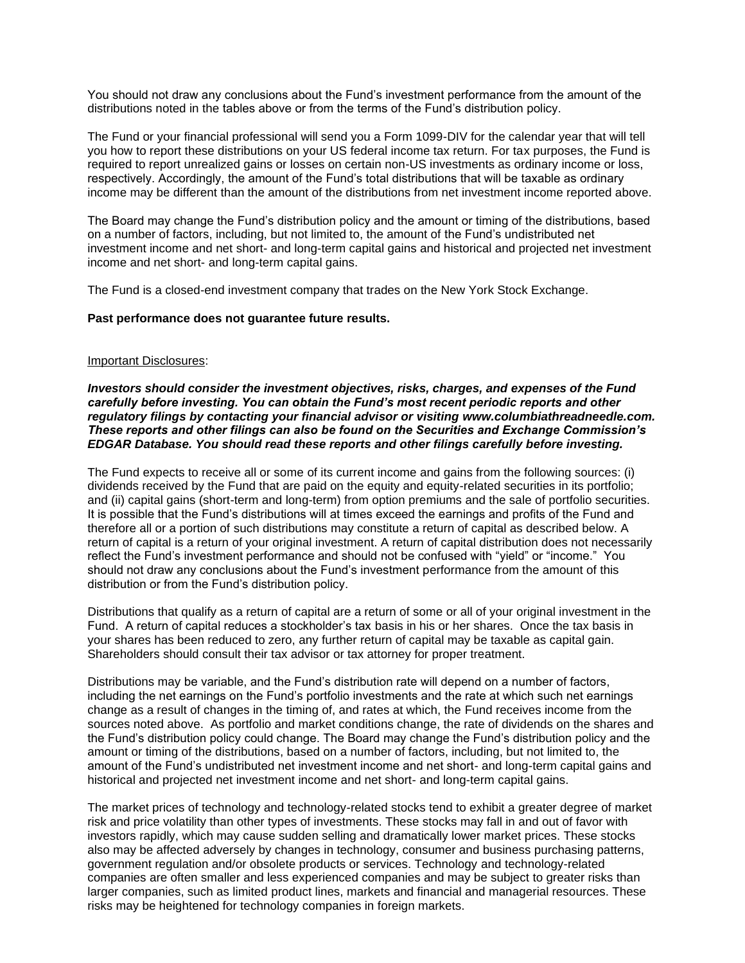You should not draw any conclusions about the Fund's investment performance from the amount of the distributions noted in the tables above or from the terms of the Fund's distribution policy.

The Fund or your financial professional will send you a Form 1099-DIV for the calendar year that will tell you how to report these distributions on your US federal income tax return. For tax purposes, the Fund is required to report unrealized gains or losses on certain non-US investments as ordinary income or loss, respectively. Accordingly, the amount of the Fund's total distributions that will be taxable as ordinary income may be different than the amount of the distributions from net investment income reported above.

The Board may change the Fund's distribution policy and the amount or timing of the distributions, based on a number of factors, including, but not limited to, the amount of the Fund's undistributed net investment income and net short- and long-term capital gains and historical and projected net investment income and net short- and long-term capital gains.

The Fund is a closed-end investment company that trades on the New York Stock Exchange.

## **Past performance does not guarantee future results.**

## Important Disclosures:

*Investors should consider the investment objectives, risks, charges, and expenses of the Fund carefully before investing. You can obtain the Fund's most recent periodic reports and other regulatory filings by contacting your financial advisor or visiting www.columbiathreadneedle.com. These reports and other filings can also be found on the Securities and Exchange Commission's EDGAR Database. You should read these reports and other filings carefully before investing.*

The Fund expects to receive all or some of its current income and gains from the following sources: (i) dividends received by the Fund that are paid on the equity and equity-related securities in its portfolio; and (ii) capital gains (short-term and long-term) from option premiums and the sale of portfolio securities. It is possible that the Fund's distributions will at times exceed the earnings and profits of the Fund and therefore all or a portion of such distributions may constitute a return of capital as described below. A return of capital is a return of your original investment. A return of capital distribution does not necessarily reflect the Fund's investment performance and should not be confused with "yield" or "income." You should not draw any conclusions about the Fund's investment performance from the amount of this distribution or from the Fund's distribution policy.

Distributions that qualify as a return of capital are a return of some or all of your original investment in the Fund. A return of capital reduces a stockholder's tax basis in his or her shares. Once the tax basis in your shares has been reduced to zero, any further return of capital may be taxable as capital gain. Shareholders should consult their tax advisor or tax attorney for proper treatment.

Distributions may be variable, and the Fund's distribution rate will depend on a number of factors, including the net earnings on the Fund's portfolio investments and the rate at which such net earnings change as a result of changes in the timing of, and rates at which, the Fund receives income from the sources noted above. As portfolio and market conditions change, the rate of dividends on the shares and the Fund's distribution policy could change. The Board may change the Fund's distribution policy and the amount or timing of the distributions, based on a number of factors, including, but not limited to, the amount of the Fund's undistributed net investment income and net short- and long-term capital gains and historical and projected net investment income and net short- and long-term capital gains.

The market prices of technology and technology-related stocks tend to exhibit a greater degree of market risk and price volatility than other types of investments. These stocks may fall in and out of favor with investors rapidly, which may cause sudden selling and dramatically lower market prices. These stocks also may be affected adversely by changes in technology, consumer and business purchasing patterns, government regulation and/or obsolete products or services. Technology and technology-related companies are often smaller and less experienced companies and may be subject to greater risks than larger companies, such as limited product lines, markets and financial and managerial resources. These risks may be heightened for technology companies in foreign markets.